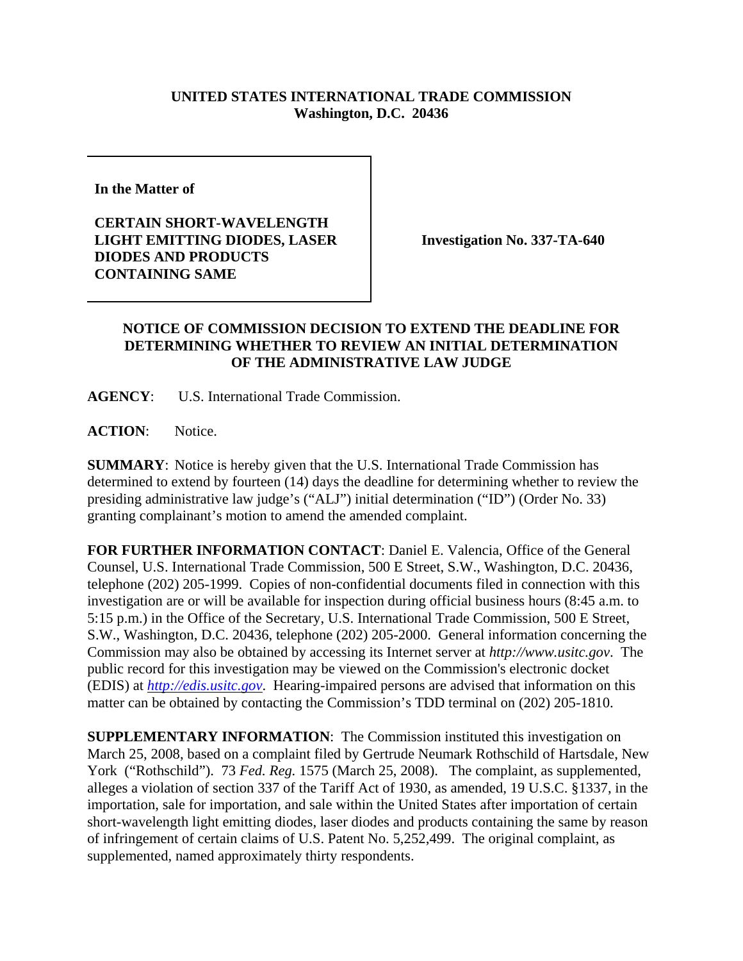## **UNITED STATES INTERNATIONAL TRADE COMMISSION Washington, D.C. 20436**

**In the Matter of** 

**CERTAIN SHORT-WAVELENGTH LIGHT EMITTING DIODES, LASER DIODES AND PRODUCTS CONTAINING SAME**

**Investigation No. 337-TA-640**

## **NOTICE OF COMMISSION DECISION TO EXTEND THE DEADLINE FOR DETERMINING WHETHER TO REVIEW AN INITIAL DETERMINATION OF THE ADMINISTRATIVE LAW JUDGE**

**AGENCY**: U.S. International Trade Commission.

**ACTION**: Notice.

**SUMMARY**: Notice is hereby given that the U.S. International Trade Commission has determined to extend by fourteen (14) days the deadline for determining whether to review the presiding administrative law judge's ("ALJ") initial determination ("ID") (Order No. 33) granting complainant's motion to amend the amended complaint.

**FOR FURTHER INFORMATION CONTACT**: Daniel E. Valencia, Office of the General Counsel, U.S. International Trade Commission, 500 E Street, S.W., Washington, D.C. 20436, telephone (202) 205-1999. Copies of non-confidential documents filed in connection with this investigation are or will be available for inspection during official business hours (8:45 a.m. to 5:15 p.m.) in the Office of the Secretary, U.S. International Trade Commission, 500 E Street, S.W., Washington, D.C. 20436, telephone (202) 205-2000. General information concerning the Commission may also be obtained by accessing its Internet server at *http://www.usitc.gov*. The public record for this investigation may be viewed on the Commission's electronic docket (EDIS) at *http://edis.usitc.gov*. Hearing-impaired persons are advised that information on this matter can be obtained by contacting the Commission's TDD terminal on (202) 205-1810.

**SUPPLEMENTARY INFORMATION**: The Commission instituted this investigation on March 25, 2008, based on a complaint filed by Gertrude Neumark Rothschild of Hartsdale, New York ("Rothschild"). 73 *Fed. Reg.* 1575 (March 25, 2008). The complaint, as supplemented, alleges a violation of section 337 of the Tariff Act of 1930, as amended, 19 U.S.C. §1337, in the importation, sale for importation, and sale within the United States after importation of certain short-wavelength light emitting diodes, laser diodes and products containing the same by reason of infringement of certain claims of U.S. Patent No. 5,252,499. The original complaint, as supplemented, named approximately thirty respondents.